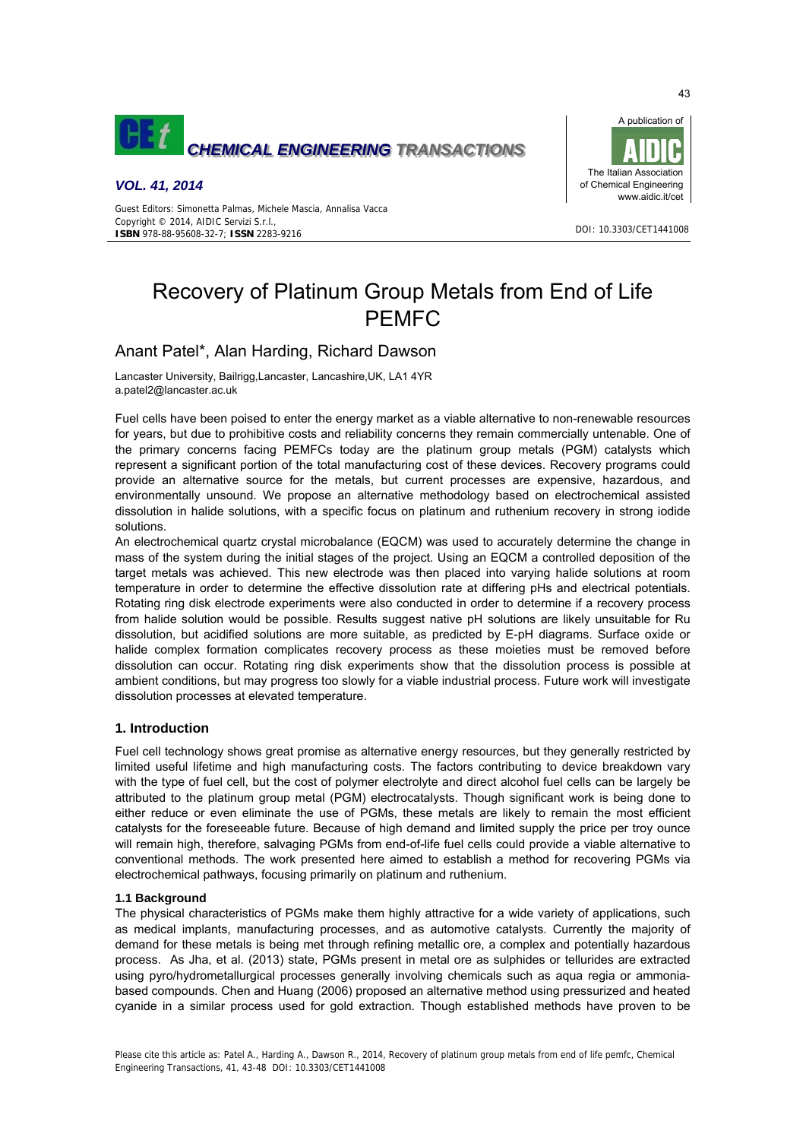

# *VOL. 41, 2014*



DOI: 10.3303/CET1441008

Guest Editors: Simonetta Palmas, Michele Mascia, Annalisa Vacca Copyright © 2014, AIDIC Servizi S.r.l. **ISBN** 978-88-95608-32-7; **ISSN** 2283-9216

# Recovery of Platinum Group Metals from End of Life PEMFC

# Anant Patel\*, Alan Harding, Richard Dawson

Lancaster University, Bailrigg,Lancaster, Lancashire,UK, LA1 4YR a.patel2@lancaster.ac.uk

Fuel cells have been poised to enter the energy market as a viable alternative to non-renewable resources for years, but due to prohibitive costs and reliability concerns they remain commercially untenable. One of the primary concerns facing PEMFCs today are the platinum group metals (PGM) catalysts which represent a significant portion of the total manufacturing cost of these devices. Recovery programs could provide an alternative source for the metals, but current processes are expensive, hazardous, and environmentally unsound. We propose an alternative methodology based on electrochemical assisted dissolution in halide solutions, with a specific focus on platinum and ruthenium recovery in strong iodide solutions.

An electrochemical quartz crystal microbalance (EQCM) was used to accurately determine the change in mass of the system during the initial stages of the project. Using an EQCM a controlled deposition of the target metals was achieved. This new electrode was then placed into varying halide solutions at room temperature in order to determine the effective dissolution rate at differing pHs and electrical potentials. Rotating ring disk electrode experiments were also conducted in order to determine if a recovery process from halide solution would be possible. Results suggest native pH solutions are likely unsuitable for Ru dissolution, but acidified solutions are more suitable, as predicted by E-pH diagrams. Surface oxide or halide complex formation complicates recovery process as these moieties must be removed before dissolution can occur. Rotating ring disk experiments show that the dissolution process is possible at ambient conditions, but may progress too slowly for a viable industrial process. Future work will investigate dissolution processes at elevated temperature.

# **1. Introduction**

Fuel cell technology shows great promise as alternative energy resources, but they generally restricted by limited useful lifetime and high manufacturing costs. The factors contributing to device breakdown vary with the type of fuel cell, but the cost of polymer electrolyte and direct alcohol fuel cells can be largely be attributed to the platinum group metal (PGM) electrocatalysts. Though significant work is being done to either reduce or even eliminate the use of PGMs, these metals are likely to remain the most efficient catalysts for the foreseeable future. Because of high demand and limited supply the price per troy ounce will remain high, therefore, salvaging PGMs from end-of-life fuel cells could provide a viable alternative to conventional methods. The work presented here aimed to establish a method for recovering PGMs via electrochemical pathways, focusing primarily on platinum and ruthenium.

#### **1.1 Background**

The physical characteristics of PGMs make them highly attractive for a wide variety of applications, such as medical implants, manufacturing processes, and as automotive catalysts. Currently the majority of demand for these metals is being met through refining metallic ore, a complex and potentially hazardous process. As Jha, et al. (2013) state, PGMs present in metal ore as sulphides or tellurides are extracted using pyro/hydrometallurgical processes generally involving chemicals such as aqua regia or ammoniabased compounds. Chen and Huang (2006) proposed an alternative method using pressurized and heated cyanide in a similar process used for gold extraction. Though established methods have proven to be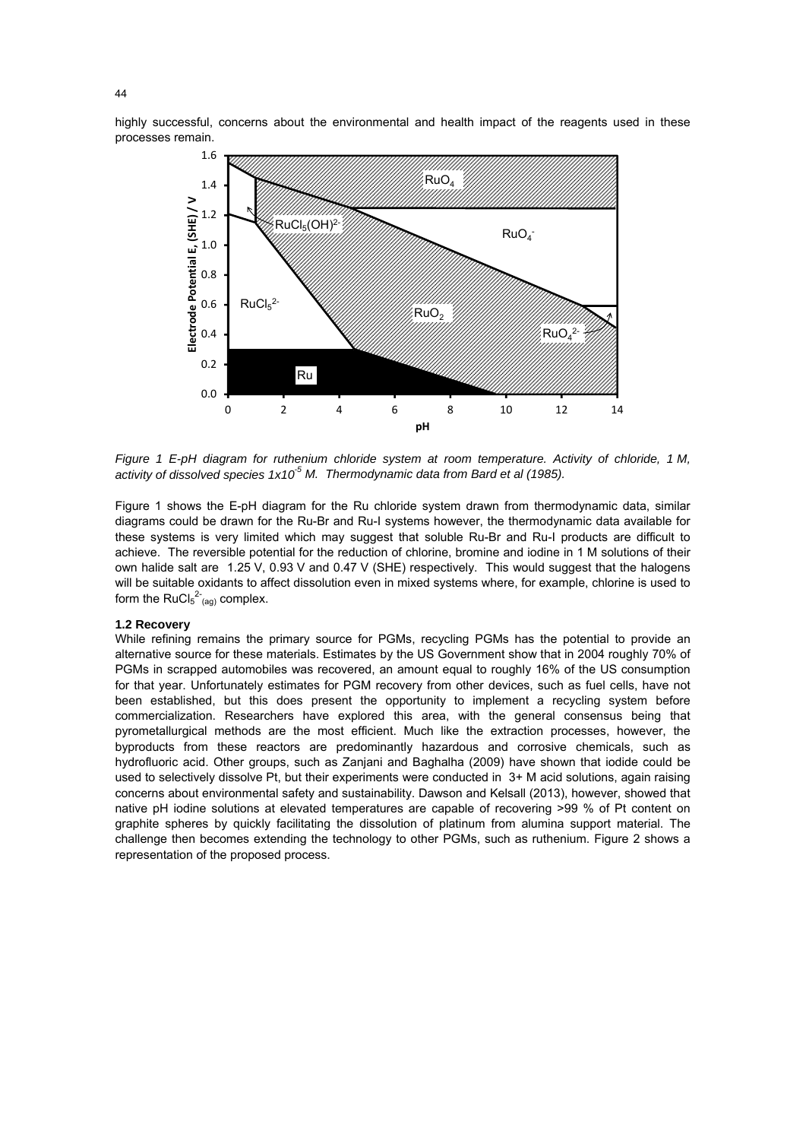highly successful, concerns about the environmental and health impact of the reagents used in these processes remain.



*Figure 1 E-pH diagram for ruthenium chloride system at room temperature. Activity of chloride, 1 M, activity of dissolved species 1x10-5 M. Thermodynamic data from Bard et al (1985).* 

Figure 1 shows the E-pH diagram for the Ru chloride system drawn from thermodynamic data, similar diagrams could be drawn for the Ru-Br and Ru-I systems however, the thermodynamic data available for these systems is very limited which may suggest that soluble Ru-Br and Ru-I products are difficult to achieve. The reversible potential for the reduction of chlorine, bromine and iodine in 1 M solutions of their own halide salt are 1.25 V, 0.93 V and 0.47 V (SHE) respectively. This would suggest that the halogens will be suitable oxidants to affect dissolution even in mixed systems where, for example, chlorine is used to form the  $RuCl<sub>5</sub><sup>2-</sup><sub>(ag)</sub> complex.$ 

# **1.2 Recovery**

While refining remains the primary source for PGMs, recycling PGMs has the potential to provide an alternative source for these materials. Estimates by the US Government show that in 2004 roughly 70% of PGMs in scrapped automobiles was recovered, an amount equal to roughly 16% of the US consumption for that year. Unfortunately estimates for PGM recovery from other devices, such as fuel cells, have not been established, but this does present the opportunity to implement a recycling system before commercialization. Researchers have explored this area, with the general consensus being that pyrometallurgical methods are the most efficient. Much like the extraction processes, however, the byproducts from these reactors are predominantly hazardous and corrosive chemicals, such as hydrofluoric acid. Other groups, such as Zanjani and Baghalha (2009) have shown that iodide could be used to selectively dissolve Pt, but their experiments were conducted in 3+ M acid solutions, again raising concerns about environmental safety and sustainability. Dawson and Kelsall (2013), however, showed that native pH iodine solutions at elevated temperatures are capable of recovering >99 % of Pt content on graphite spheres by quickly facilitating the dissolution of platinum from alumina support material. The challenge then becomes extending the technology to other PGMs, such as ruthenium. Figure 2 shows a representation of the proposed process.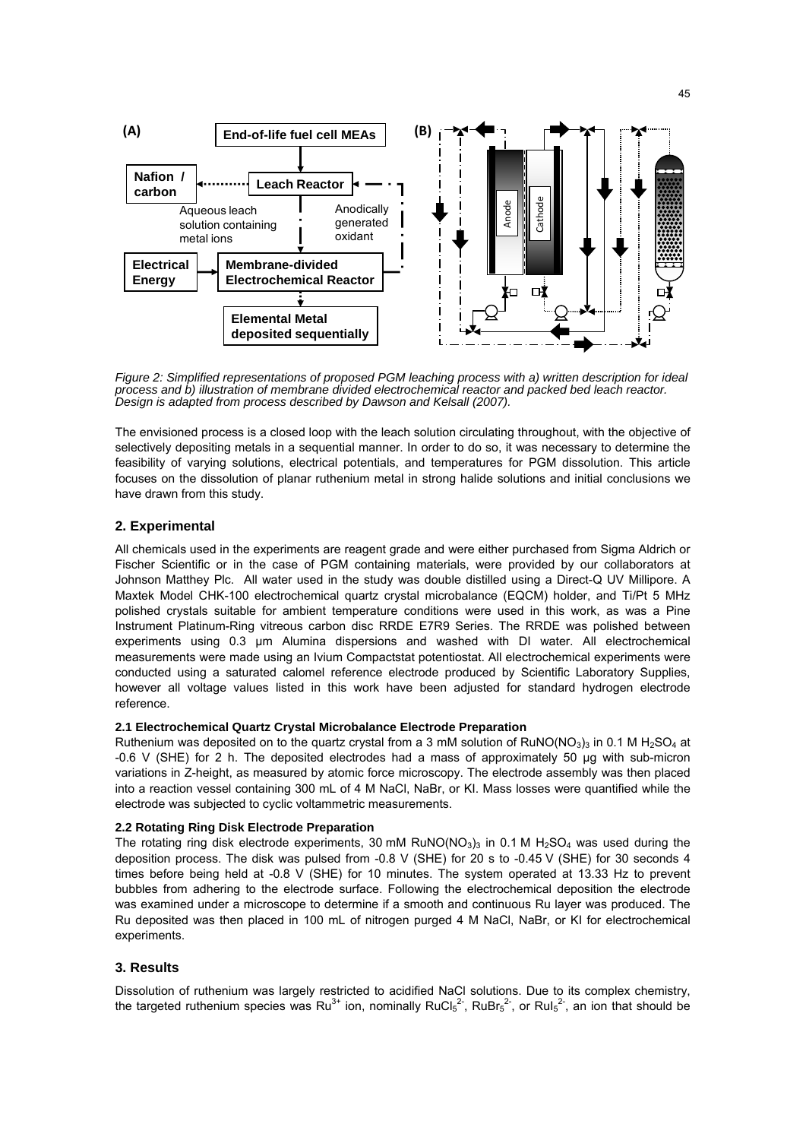

*Figure 2: Simplified representations of proposed PGM leaching process with a) written description for ideal process and b) illustration of membrane divided electrochemical reactor and packed bed leach reactor. Design is adapted from process described by Dawson and Kelsall (2007).* 

The envisioned process is a closed loop with the leach solution circulating throughout, with the objective of selectively depositing metals in a sequential manner. In order to do so, it was necessary to determine the feasibility of varying solutions, electrical potentials, and temperatures for PGM dissolution. This article focuses on the dissolution of planar ruthenium metal in strong halide solutions and initial conclusions we have drawn from this study.

# **2. Experimental**

All chemicals used in the experiments are reagent grade and were either purchased from Sigma Aldrich or Fischer Scientific or in the case of PGM containing materials, were provided by our collaborators at Johnson Matthey Plc. All water used in the study was double distilled using a Direct-Q UV Millipore. A Maxtek Model CHK-100 electrochemical quartz crystal microbalance (EQCM) holder, and Ti/Pt 5 MHz polished crystals suitable for ambient temperature conditions were used in this work, as was a Pine Instrument Platinum-Ring vitreous carbon disc RRDE E7R9 Series. The RRDE was polished between experiments using 0.3 µm Alumina dispersions and washed with DI water. All electrochemical measurements were made using an Ivium Compactstat potentiostat. All electrochemical experiments were conducted using a saturated calomel reference electrode produced by Scientific Laboratory Supplies, however all voltage values listed in this work have been adjusted for standard hydrogen electrode reference.

#### **2.1 Electrochemical Quartz Crystal Microbalance Electrode Preparation**

Ruthenium was deposited on to the quartz crystal from a 3 mM solution of RuNO(NO<sub>3</sub>)<sub>3</sub> in 0.1 M H<sub>2</sub>SO<sub>4</sub> at -0.6 V (SHE) for 2 h. The deposited electrodes had a mass of approximately 50 µg with sub-micron variations in Z-height, as measured by atomic force microscopy. The electrode assembly was then placed into a reaction vessel containing 300 mL of 4 M NaCl, NaBr, or KI. Mass losses were quantified while the electrode was subjected to cyclic voltammetric measurements.

#### **2.2 Rotating Ring Disk Electrode Preparation**

The rotating ring disk electrode experiments, 30 mM RuNO( $NO<sub>3</sub>$ )<sub>3</sub> in 0.1 M H<sub>2</sub>SO<sub>4</sub> was used during the deposition process. The disk was pulsed from -0.8 V (SHE) for 20 s to -0.45 V (SHE) for 30 seconds 4 times before being held at -0.8 V (SHE) for 10 minutes. The system operated at 13.33 Hz to prevent bubbles from adhering to the electrode surface. Following the electrochemical deposition the electrode was examined under a microscope to determine if a smooth and continuous Ru layer was produced. The Ru deposited was then placed in 100 mL of nitrogen purged 4 M NaCl, NaBr, or KI for electrochemical experiments.

### **3. Results**

Dissolution of ruthenium was largely restricted to acidified NaCl solutions. Due to its complex chemistry, the targeted ruthenium species was Ru<sup>3+</sup> ion, nominally RuCl<sub>5</sub><sup>2-</sup>, RuBr<sub>5</sub><sup>2-</sup>, or RuI<sub>5</sub><sup>2-</sup>, an ion that should be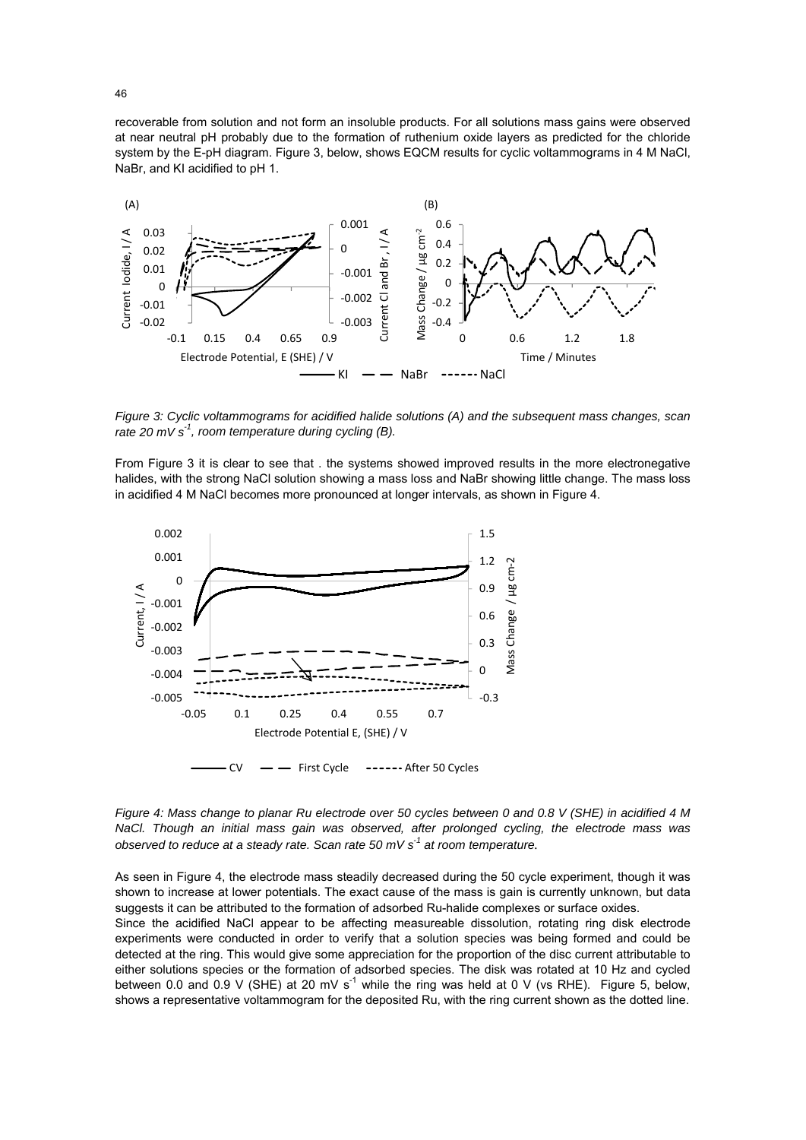recoverable from solution and not form an insoluble products. For all solutions mass gains were observed at near neutral pH probably due to the formation of ruthenium oxide layers as predicted for the chloride system by the E-pH diagram. Figure 3, below, shows EQCM results for cyclic voltammograms in 4 M NaCl, NaBr, and KI acidified to pH 1.



*Figure 3: Cyclic voltammograms for acidified halide solutions (A) and the subsequent mass changes, scan rate 20 mV s-1, room temperature during cycling (B).* 

From Figure 3 it is clear to see that . the systems showed improved results in the more electronegative halides, with the strong NaCl solution showing a mass loss and NaBr showing little change. The mass loss in acidified 4 M NaCl becomes more pronounced at longer intervals, as shown in Figure 4.



*Figure 4: Mass change to planar Ru electrode over 50 cycles between 0 and 0.8 V (SHE) in acidified 4 M NaCl. Though an initial mass gain was observed, after prolonged cycling, the electrode mass was observed to reduce at a steady rate. Scan rate 50 mV s-1 at room temperature.*

As seen in Figure 4, the electrode mass steadily decreased during the 50 cycle experiment, though it was shown to increase at lower potentials. The exact cause of the mass is gain is currently unknown, but data suggests it can be attributed to the formation of adsorbed Ru-halide complexes or surface oxides.

Since the acidified NaCl appear to be affecting measureable dissolution, rotating ring disk electrode experiments were conducted in order to verify that a solution species was being formed and could be detected at the ring. This would give some appreciation for the proportion of the disc current attributable to either solutions species or the formation of adsorbed species. The disk was rotated at 10 Hz and cycled between 0.0 and 0.9 V (SHE) at 20 mV s<sup>-1</sup> while the ring was held at 0 V (vs RHE). Figure 5, below, shows a representative voltammogram for the deposited Ru, with the ring current shown as the dotted line.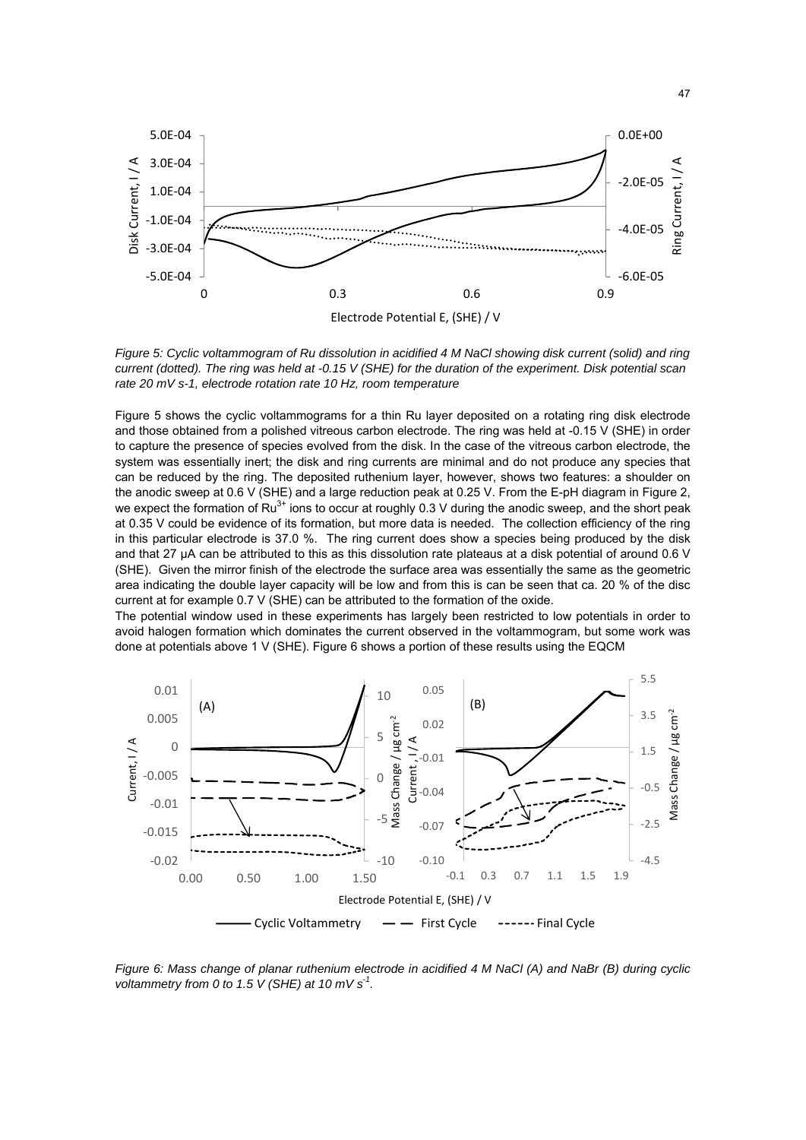

*Figure 5: Cyclic voltammogram of Ru dissolution in acidified 4 M NaCl showing disk current (solid) and ring current (dotted). The ring was held at -0.15 V (SHE) for the duration of the experiment. Disk potential scan rate 20 mV s-1, electrode rotation rate 10 Hz, room temperature* 

Figure 5 shows the cyclic voltammograms for a thin Ru layer deposited on a rotating ring disk electrode and those obtained from a polished vitreous carbon electrode. The ring was held at -0.15 V (SHE) in order to capture the presence of species evolved from the disk. In the case of the vitreous carbon electrode, the system was essentially inert; the disk and ring currents are minimal and do not produce any species that can be reduced by the ring. The deposited ruthenium layer, however, shows two features: a shoulder on the anodic sweep at 0.6 V (SHE) and a large reduction peak at 0.25 V. From the E-pH diagram in Figure 2, we expect the formation of Ru<sup>3+</sup> ions to occur at roughly 0.3 V during the anodic sweep, and the short peak at 0.35 V could be evidence of its formation, but more data is needed. The collection efficiency of the ring in this particular electrode is 37.0 %. The ring current does show a species being produced by the disk and that 27 µA can be attributed to this as this dissolution rate plateaus at a disk potential of around 0.6 V (SHE). Given the mirror finish of the electrode the surface area was essentially the same as the geometric area indicating the double layer capacity will be low and from this is can be seen that ca. 20 % of the disc current at for example 0.7 V (SHE) can be attributed to the formation of the oxide.

The potential window used in these experiments has largely been restricted to low potentials in order to avoid halogen formation which dominates the current observed in the voltammogram, but some work was done at potentials above 1 V (SHE). Figure 6 shows a portion of these results using the EQCM



*Figure 6: Mass change of planar ruthenium electrode in acidified 4 M NaCl (A) and NaBr (B) during cyclic voltammetry from 0 to 1.5 V (SHE) at 10 mV s-1.*